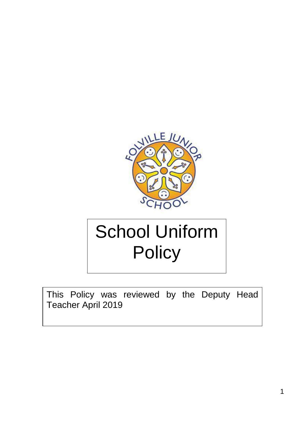

# School Uniform **Policy**

This Policy was reviewed by the Deputy Head Teacher April 2019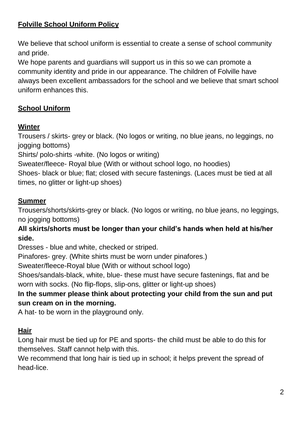# **Folville School Uniform Policy**

We believe that school uniform is essential to create a sense of school community and pride.

We hope parents and guardians will support us in this so we can promote a community identity and pride in our appearance. The children of Folville have always been excellent ambassadors for the school and we believe that smart school uniform enhances this.

# **School Uniform**

#### **Winter**

Trousers / skirts- grey or black. (No logos or writing, no blue jeans, no leggings, no jogging bottoms)

Shirts/ polo-shirts -white. (No logos or writing)

Sweater/fleece- Royal blue (With or without school logo, no hoodies)

Shoes- black or blue; flat; closed with secure fastenings. (Laces must be tied at all times, no glitter or light-up shoes)

#### **Summer**

Trousers/shorts/skirts-grey or black. (No logos or writing, no blue jeans, no leggings, no jogging bottoms)

#### **All skirts/shorts must be longer than your child's hands when held at his/her side.**

Dresses - blue and white, checked or striped.

Pinafores- grey. (White shirts must be worn under pinafores.)

Sweater/fleece-Royal blue (With or without school logo)

Shoes/sandals-black, white, blue- these must have secure fastenings, flat and be worn with socks. (No flip-flops, slip-ons, glitter or light-up shoes)

## **In the summer please think about protecting your child from the sun and put sun cream on in the morning.**

A hat- to be worn in the playground only.

#### **Hair**

Long hair must be tied up for PE and sports- the child must be able to do this for themselves. Staff cannot help with this.

We recommend that long hair is tied up in school; it helps prevent the spread of head-lice.